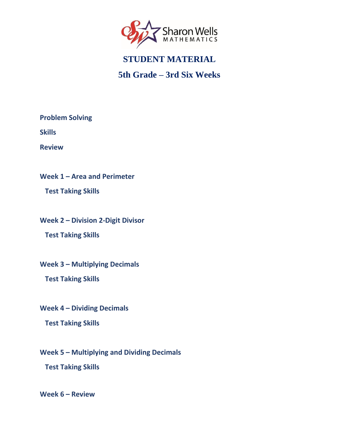<span id="page-0-0"></span>

## **5th Grade – 3rd Six Weeks**

**[Problem Solving](#page-1-0)**

**[Skills](#page-2-0)**

**[Review](#page-3-0)**

**Week 1 – [Area and Perimeter](#page-4-0)**

 **[Test Taking Skills](#page-4-0)**

**Week 2 – [Division 2-Digit Divisor](#page-5-0)**

 **[Test Taking Skills](#page-5-0)**

**Week 3 – [Multiplying Decimals](#page-6-0)**

 **[Test Taking Skills](#page-6-0)**

**Week 4 – [Dividing Decimals](#page-7-0)**

 **[Test Taking Skills](#page-7-0)**

**Week 5 – [Multiplying and Dividing Decimals](#page-8-0) [Test Taking Skills](#page-8-0)**

**[Week 6](#page-9-0) – Review**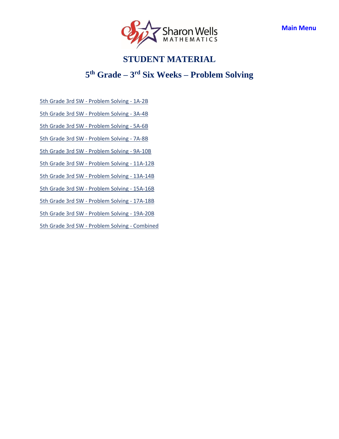

## **5 th Grade – 3 rd Six Weeks – Problem Solving**

<span id="page-1-0"></span>5th Grade 3rd SW - [Problem Solving -](https://access.sharonwells.com/63vQ8g) 1A-2B

5th Grade 3rd SW - [Problem Solving -](https://access.sharonwells.com/9RMah4) 3A-4B

5th Grade 3rd SW - [Problem Solving -](https://access.sharonwells.com/Xn6NUJ) 5A-6B

5th Grade 3rd SW - [Problem Solving -](https://access.sharonwells.com/aGKnqa) 7A-8B

5th Grade 3rd SW - [Problem Solving -](https://access.sharonwells.com/zjqnmG) 9A-10B

5th Grade 3rd SW - [Problem Solving -](https://access.sharonwells.com/bjgJqg) 11A-12B

5th Grade 3rd SW - [Problem Solving -](https://access.sharonwells.com/gaqxaA) 13A-14B

5th Grade 3rd SW - [Problem Solving -](https://access.sharonwells.com/FzvNmh) 15A-16B

5th Grade 3rd SW - [Problem Solving -](https://access.sharonwells.com/VCdPQj) 17A-18B

5th Grade 3rd SW - [Problem Solving -](https://access.sharonwells.com/7jpm2B) 19A-20B

[5th Grade 3rd SW -](https://access.sharonwells.com/NydM4t) Problem Solving - Combined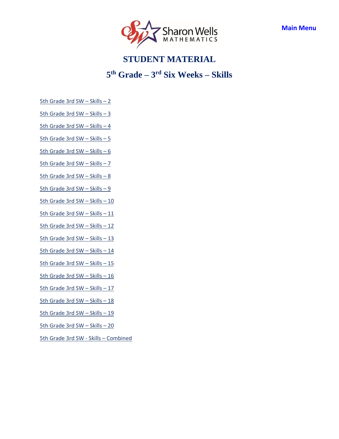

## **5 th Grade – 3 rd Six Weeks – Skills**

- <span id="page-2-0"></span>[5th Grade 3rd SW](https://access.sharonwells.com/hDmgUa) – Skills – 2
- [5th Grade 3rd SW](https://access.sharonwells.com/HwtzTR)  Skills 3
- [5th Grade 3rd SW](https://access.sharonwells.com/GxtyHy)  Skills 4
- [5th Grade 3rd SW](https://access.sharonwells.com/9JcyDE)  Skills 5
- [5th Grade 3rd SW](https://access.sharonwells.com/WY6hcn)  Skills 6
- [5th Grade 3rd SW](https://access.sharonwells.com/nx8RK4)  Skills 7
- [5th Grade 3rd SW](https://access.sharonwells.com/92gjjp)  Skills 8
- [5th Grade 3rd SW](https://access.sharonwells.com/xBbqhf)  Skills 9
- [5th Grade 3rd SW](https://access.sharonwells.com/F82YRd)  Skills 10
- [5th Grade 3rd SW](https://access.sharonwells.com/hwdbzc)  Skills 11
- [5th Grade 3rd SW](https://access.sharonwells.com/fFTb7J)  Skills 12
- [5th Grade 3rd SW](https://access.sharonwells.com/XDeMnJ)  Skills 13
- [5th Grade 3rd SW](https://access.sharonwells.com/RhADDU)  Skills 14
- [5th Grade 3rd SW](https://access.sharonwells.com/MNt3nA)  Skills 15
- [5th Grade 3rd SW](https://access.sharonwells.com/YRmgGa)  Skills 16
- [5th Grade 3rd SW](https://access.sharonwells.com/GGer2v)  Skills 17
- [5th Grade 3rd SW](https://access.sharonwells.com/RnMKux)  Skills 18
- [5th Grade 3rd SW](https://access.sharonwells.com/HhxXGt)  Skills 19
- [5th Grade 3rd SW](https://access.sharonwells.com/JPHvxJ)  Skills 20
- [5th Grade 3rd SW -](https://access.sharonwells.com/qhVZgA) Skills Combined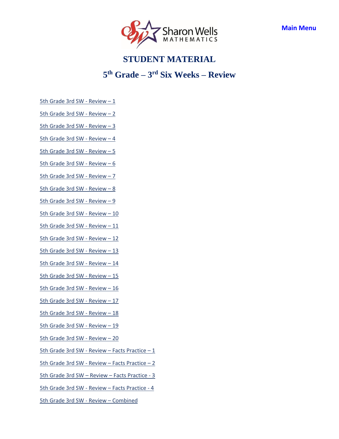

## **5 th Grade – 3 rd Six Weeks – Review**

- <span id="page-3-0"></span>[5th Grade 3rd SW -](https://access.sharonwells.com/Vnv3dy) Review – 1
- [5th Grade 3rd SW -](https://access.sharonwells.com/4jyJur) Review 2
- [5th Grade 3rd SW -](https://access.sharonwells.com/pg96wb) Review 3
- [5th Grade 3rd SW -](https://access.sharonwells.com/rNaVw7) Review 4
- [5th Grade 3rd SW -](https://access.sharonwells.com/7wH4Kp) Review 5
- [5th Grade 3rd SW -](https://access.sharonwells.com/cudtcW) Review 6
- [5th Grade 3rd SW -](https://access.sharonwells.com/TgXaYe) Review 7
- [5th Grade 3rd SW -](https://access.sharonwells.com/3hCx7p) Review 8
- [5th Grade 3rd SW -](https://access.sharonwells.com/zx3jDB) Review 9
- [5th Grade 3rd SW -](https://access.sharonwells.com/xzVunq) Review 10
- [5th Grade 3rd SW -](https://access.sharonwells.com/XPgafx) Review 11
- [5th Grade 3rd SW -](https://access.sharonwells.com/uPGdnX) Review 12
- [5th Grade 3rd SW -](https://access.sharonwells.com/cQUHQu) Review 13
- [5th Grade 3rd SW -](https://access.sharonwells.com/wVVE8v) Review 14
- [5th Grade 3rd SW -](https://access.sharonwells.com/XEzb7j) Review 15
- [5th Grade 3rd SW -](https://access.sharonwells.com/KcbgJy) Review 16
- [5th Grade 3rd SW -](https://access.sharonwells.com/KH4Q4h) Review 17
- [5th Grade 3rd SW -](https://access.sharonwells.com/CYbJ4X) Review 18
- [5th Grade 3rd SW -](https://access.sharonwells.com/GYxvRJ) Review 19
- [5th Grade 3rd SW -](https://access.sharonwells.com/uX9Qqu) Review 20
- [5th Grade 3rd SW -](https://access.sharonwells.com/nhxTqt) Review Facts Practice 1
- [5th Grade 3rd SW -](https://access.sharonwells.com/QkHWd6) Review Facts Practice 2
- [5th Grade 3rd SW](https://access.sharonwells.com/AhvzeP)  Review Facts Practice 3
- [5th Grade 3rd SW -](https://access.sharonwells.com/QKrvmM) Review Facts Practice 4
- [5th Grade 3rd SW -](https://access.sharonwells.com/nnuBcr) Review Combined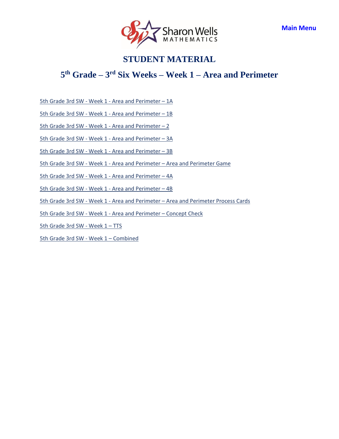

## <span id="page-4-0"></span>**5 th Grade – 3 rd Six Weeks – Week 1 – Area and Perimeter**

5th Grade 3rd SW - Week 1 - [Area and Perimeter](https://access.sharonwells.com/YbkzUk) – 1A

5th Grade 3rd SW - Week 1 - [Area and Perimeter](https://access.sharonwells.com/RmZtZC) – 1B

5th Grade 3rd SW - Week 1 - [Area and Perimeter](https://access.sharonwells.com/2T6gmA) – 2

5th Grade 3rd SW - Week 1 - [Area and Perimeter](https://access.sharonwells.com/4ZktR7) – 3A

5th Grade 3rd SW - Week 1 - [Area and Perimeter](https://access.sharonwells.com/jXBCfM) – 3B

5th Grade 3rd SW - Week 1 - Area and Perimeter – [Area and Perimeter Game](https://access.sharonwells.com/TkqzXt)

5th Grade 3rd SW - Week 1 - [Area and Perimeter](https://access.sharonwells.com/A3RGQ7) – 4A

5th Grade 3rd SW - Week 1 - [Area and Perimeter](https://access.sharonwells.com/EZBYTH) – 4B

5th Grade 3rd SW - Week 1 - Area and Perimeter – [Area and Perimeter Process Cards](https://access.sharonwells.com/Zry7gE)

5th Grade 3rd SW - Week 1 - [Area and Perimeter](https://access.sharonwells.com/frgMY2) – Concept Check

[5th Grade](https://access.sharonwells.com/xA6dbB) 3rd SW - Week 1 – TTS

[5th Grade 3rd SW -](https://access.sharonwells.com/RH76BE) Week 1 – Combined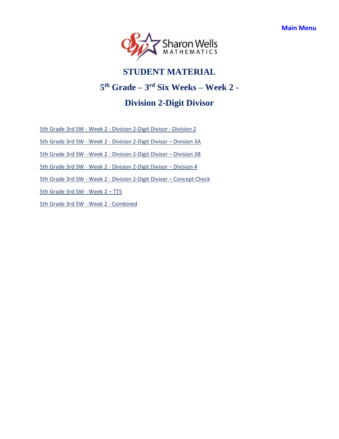<span id="page-5-0"></span>

# **5 th Grade – 3 rd Six Weeks – Week 2 -**

## **Division 2-Digit Divisor**

5th Grade 3rd SW - Week 2 - [Division 2-Digit Divisor](https://access.sharonwells.com/DkzWfq) - Division 2

5th Grade 3rd SW - Week 2 - [Division 2-Digit Divisor](https://access.sharonwells.com/3QpU3Z) – Division 3A

5th Grade 3rd SW - Week 2 - [Division 2-Digit Divisor](https://access.sharonwells.com/6gJzTz) – Division 3B

5th Grade 3rd SW - Week 2 - [Division 2-Digit Divisor](https://access.sharonwells.com/7FbFHc) – Division 4

5th Grade 3rd SW - Week 2 - [Division 2-Digit Divisor](https://access.sharonwells.com/fNzWXp) – Concept Check

[5th Grade](https://access.sharonwells.com/rreGkK) 3rd SW - Week 2 – TTS

[5th Grade 3rd SW -](https://access.sharonwells.com/d3pCMa) Week 2 - Combined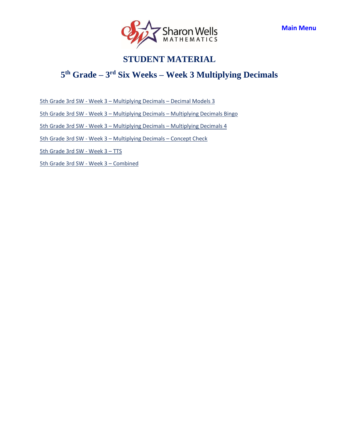

## <span id="page-6-0"></span>**5 th Grade – 3 rd Six Weeks – Week 3 Multiplying Decimals**

5th Grade 3rd SW - Week 3 – [Multiplying Decimals](https://access.sharonwells.com/ckE94X) – Decimal Models 3

5th Grade 3rd SW - Week 3 – Multiplying Decimals – [Multiplying Decimals Bingo](https://access.sharonwells.com/ebGzjg)

5th Grade 3rd SW - Week 3 – Multiplying Decimals – [Multiplying Decimals 4](https://access.sharonwells.com/HpukUk)

5th Grade 3rd SW - Week 3 – [Multiplying Decimals](https://access.sharonwells.com/mmQFY3) – Concept Check

[5th Grade](https://access.sharonwells.com/2RPTQQ) 3rd SW - Week 3 – TTS

[5th Grade 3rd SW -](https://access.sharonwells.com/uqz8mD) Week 3 – Combined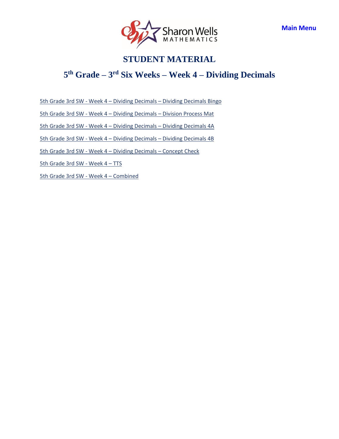

## <span id="page-7-0"></span>**5 th Grade – 3 rd Six Weeks – Week 4 – Dividing Decimals**

5th Grade 3rd SW - Week 4 – Dividing Decimals – [Dividing Decimals Bingo](https://access.sharonwells.com/aQzCfT)

5th Grade 3rd SW - Week 4 – Dividing Decimals – [Division Process Mat](https://access.sharonwells.com/RAJKH7)

5th Grade 3rd SW - Week 4 – Dividing Decimals – [Dividing Decimals 4A](https://access.sharonwells.com/murDYp)

5th Grade 3rd SW - Week 4 – Dividing Decimals – [Dividing Decimals 4B](https://access.sharonwells.com/anGJ2H)

[5th Grade 3rd SW -](https://access.sharonwells.com/GWmVyJ) Week 4 – Dividing Decimals – Concept Check

[5th Grade](https://access.sharonwells.com/NfMbwx) 3rd SW - Week 4 – TTS

[5th Grade 3rd SW -](https://access.sharonwells.com/vMKmm4) Week 4 – Combined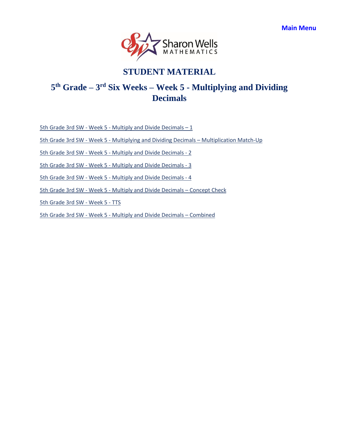

# <span id="page-8-0"></span>**5 th Grade – 3 rd Six Weeks – Week 5 - Multiplying and Dividing Decimals**

5th Grade 3rd SW - Week 5 - [Multiply and Divide](https://access.sharonwells.com/CKJaYz) Decimals  $-1$ 

5th Grade 3rd SW - Week 5 - [Multiplying and Dividing Decimals](https://access.sharonwells.com/WBQ6Eb) – Multiplication Match-Up

5th Grade 3rd SW - Week 5 - [Multiply and Divide](https://access.sharonwells.com/DgKU8f) Decimals - 2

5th Grade 3rd SW - Week 5 - [Multiply and Divide](https://access.sharonwells.com/dpZruQ) Decimals - 3

5th Grade 3rd SW - Week 5 - [Multiply and Divide](https://access.sharonwells.com/77MAbf) Decimals - 4

5th Grade 3rd SW - Week 5 - [Multiply and Divide](https://access.sharonwells.com/JQDb9w) Decimals – Concept Check

[5th Grade](https://access.sharonwells.com/UxbPk2) 3rd SW - Week 5 - TTS

5th Grade 3rd SW - Week 5 - [Multiply and Divide](https://access.sharonwells.com/zRMzj8) Decimals – Combined